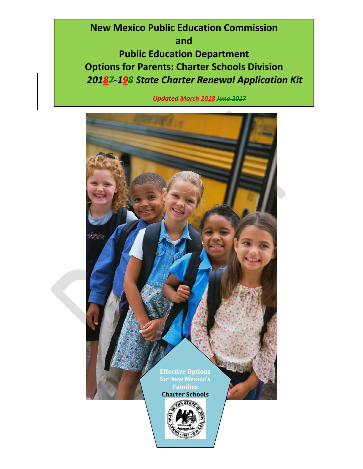**New Mexico Public Education Commission and Public Education Department Options for Parents: Charter Schools Division** *20187-198 State Charter Renewal Application Kit*

 *Updated March 2018 June 2017*

![](_page_0_Picture_2.jpeg)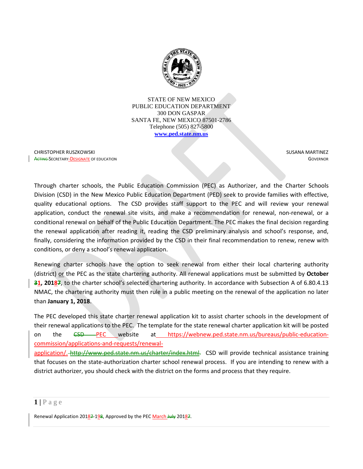![](_page_1_Picture_0.jpeg)

STATE OF NEW MEXICO PUBLIC EDUCATION DEPARTMENT 300 DON GASPAR SANTA FE, NEW MEXICO 87501-2786 Telephone (505) 827-5800 **[www.ped.state.nm.us](http://www.sde.state.nm.us/)**

CHRISTOPHER RUSZKOWSKI **ACTING-SECRETARY-DESIGNATE OF EDUCATION**   SUSANA MARTINEZ **GOVERNOR** 

Through charter schools, the Public Education Commission (PEC) as Authorizer, and the Charter Schools Division (CSD) in the New Mexico Public Education Department (PED) seek to provide families with effective, quality educational options. The CSD provides staff support to the PEC and will review your renewal application, conduct the renewal site visits, and make a recommendation for renewal, non-renewal, or a conditional renewal on behalf of the Public Education Department. The PEC makes the final decision regarding the renewal application after reading it, reading the CSD preliminary analysis and school's response, and, finally, considering the information provided by the CSD in their final recommendation to renew, renew with conditions, or deny a school's renewal application.

Renewing charter schools have the option to seek renewal from either their local chartering authority (district) or the PEC as the state chartering authority. All renewal applications must be submitted by **October 31, 20187**, to the charter school's selected chartering authority. In accordance with Subsection A of 6.80.4.13 NMAC, the chartering authority must then rule in a public meeting on the renewal of the application no later than **January 1, 2018**.

The PEC developed this state charter renewal application kit to assist charter schools in the development of their renewal applications to the PEC. The template for the state renewal charter application kit will be posted on the <del>CSD</del>—PEC website at https://webnew.ped.state.nm.us/bureaus/public-educationcommission/applications-and-requests/renewal-

application/. http://www.ped.state.nm.us/charter/index.html. CSD will provide technical assistance training that focuses on the state-authorization charter school renewal process. If you are intending to renew with a district authorizer, you should check with the district on the forms and process that they require.

#### $1$  | P a g e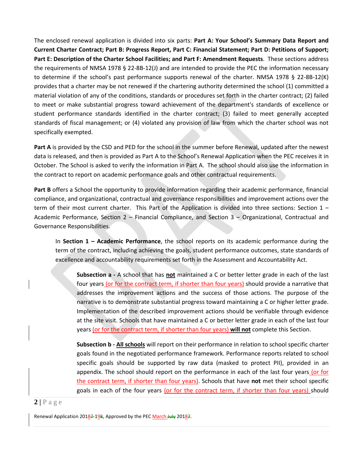The enclosed renewal application is divided into six parts: **Part A: Your School's Summary Data Report and Current Charter Contract; Part B: Progress Report, Part C: Financial Statement; Part D: Petitions of Support; Part E: Description of the Charter School Facilities; and Part F: Amendment Requests**. These sections address the requirements of NMSA 1978 § 22-8B-12(J) and are intended to provide the PEC the information necessary to determine if the school's past performance supports renewal of the charter. NMSA 1978 § 22-8B-12(K) provides that a charter may be not renewed if the chartering authority determined the school (1) committed a material violation of any of the conditions, standards or procedures set forth in the charter contract; (2) failed to meet or make substantial progress toward achievement of the department's standards of excellence or student performance standards identified in the charter contract; (3) failed to meet generally accepted standards of fiscal management; or (4) violated any provision of law from which the charter school was not specifically exempted.

**Part A** is provided by the CSD and PED for the school in the summer before Renewal, updated after the newest data is released, and then is provided as Part A to the School's Renewal Application when the PEC receives it in October. The School is asked to verify the information in Part A. The school should also use the information in the contract to report on academic performance goals and other contractual requirements.

**Part B** offers a School the opportunity to provide information regarding their academic performance, financial compliance, and organizational, contractual and governance responsibilities and improvement actions over the term of their most current charter. This Part of the Application is divided into three sections: Section 1 – Academic Performance, Section 2 – Financial Compliance, and Section 3 – Organizational, Contractual and Governance Responsibilities.

In **Section 1 – Academic Performance**, the school reports on its academic performance during the term of the contract, including achieving the goals, student performance outcomes, state standards of excellence and accountability requirements set forth in the Assessment and Accountability Act.

**Subsection a -** A school that has **not** maintained a C or better letter grade in each of the last four years (or for the contract term, if shorter than four years) should provide a narrative that addresses the improvement actions and the success of those actions. The purpose of the narrative is to demonstrate substantial progress toward maintaining a C or higher letter grade. Implementation of the described improvement actions should be verifiable through evidence at the site visit. Schools that have maintained a C or better letter grade in each of the last four years (or for the contract term, if shorter than four years) **will not** complete this Section.

**Subsection b - All schools** will report on their performance in relation to school specific charter goals found in the negotiated performance framework. Performance reports related to school specific goals should be supported by raw data (masked to protect PII), provided in an appendix. The school should report on the performance in each of the last four years (or for the contract term, if shorter than four years). Schools that have **not** met their school specific goals in each of the four years (or for the contract term, if shorter than four years) should

 $2 | P \text{ a } g \text{ e}$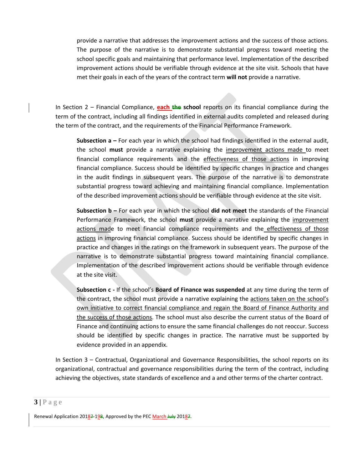provide a narrative that addresses the improvement actions and the success of those actions. The purpose of the narrative is to demonstrate substantial progress toward meeting the school specific goals and maintaining that performance level. Implementation of the described improvement actions should be verifiable through evidence at the site visit. Schools that have met their goals in each of the years of the contract term **will not** provide a narrative.

In Section 2 – Financial Compliance, **each the school** reports on its financial compliance during the term of the contract, including all findings identified in external audits completed and released during the term of the contract, and the requirements of the Financial Performance Framework.

**Subsection a –** For each year in which the school had findings identified in the external audit, the school **must** provide a narrative explaining the improvement actions made to meet financial compliance requirements and the effectiveness of those actions in improving financial compliance. Success should be identified by specific changes in practice and changes in the audit findings in subsequent years. The purpose of the narrative is to demonstrate substantial progress toward achieving and maintaining financial compliance. Implementation of the described improvement actions should be verifiable through evidence at the site visit.

**Subsection b –** For each year in which the school **did not meet** the standards of the Financial Performance Framework, the school **must** provide a narrative explaining the improvement actions made to meet financial compliance requirements and the effectiveness of those actions in improving financial compliance. Success should be identified by specific changes in practice and changes in the ratings on the framework in subsequent years. The purpose of the narrative is to demonstrate substantial progress toward maintaining financial compliance. Implementation of the described improvement actions should be verifiable through evidence at the site visit.

**Subsection c -** If the school's **Board of Finance was suspended** at any time during the term of the contract, the school must provide a narrative explaining the actions taken on the school's own initiative to correct financial compliance and regain the Board of Finance Authority and the success of those actions. The school must also describe the current status of the Board of Finance and continuing actions to ensure the same financial challenges do not reoccur. Success should be identified by specific changes in practice. The narrative must be supported by evidence provided in an appendix.

In Section 3 – Contractual, Organizational and Governance Responsibilities, the school reports on its organizational, contractual and governance responsibilities during the term of the contract, including achieving the objectives, state standards of excellence and a and other terms of the charter contract.

#### $3|$  **Page**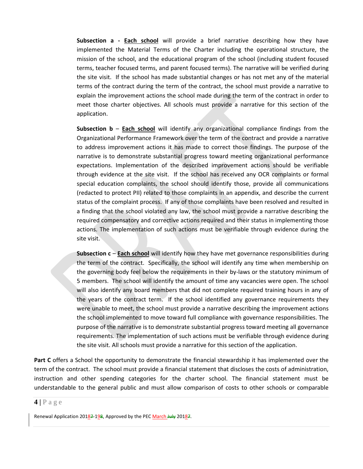**Subsection a - Each school** will provide a brief narrative describing how they have implemented the Material Terms of the Charter including the operational structure, the mission of the school, and the educational program of the school (including student focused terms, teacher focused terms, and parent focused terms). The narrative will be verified during the site visit. If the school has made substantial changes or has not met any of the material terms of the contract during the term of the contract, the school must provide a narrative to explain the improvement actions the school made during the term of the contract in order to meet those charter objectives. All schools must provide a narrative for this section of the application.

**Subsection b** – **Each school** will identify any organizational compliance findings from the Organizational Performance Framework over the term of the contract and provide a narrative to address improvement actions it has made to correct those findings. The purpose of the narrative is to demonstrate substantial progress toward meeting organizational performance expectations. Implementation of the described improvement actions should be verifiable through evidence at the site visit. If the school has received any OCR complaints or formal special education complaints, the school should identify those, provide all communications (redacted to protect PII) related to those complaints in an appendix, and describe the current status of the complaint process. If any of those complaints have been resolved and resulted in a finding that the school violated any law, the school must provide a narrative describing the required compensatory and corrective actions required and their status in implementing those actions. The implementation of such actions must be verifiable through evidence during the site visit.

**Subsection c** – **Each school** will identify how they have met governance responsibilities during the term of the contract. Specifically, the school will identify any time when membership on the governing body feel below the requirements in their by-laws or the statutory minimum of 5 members. The school will identify the amount of time any vacancies were open. The school will also identify any board members that did not complete required training hours in any of the years of the contract term. If the school identified any governance requirements they were unable to meet, the school must provide a narrative describing the improvement actions the school implemented to move toward full compliance with governance responsibilities. The purpose of the narrative is to demonstrate substantial progress toward meeting all governance requirements. The implementation of such actions must be verifiable through evidence during the site visit. All schools must provide a narrative for this section of the application.

**Part C** offers a School the opportunity to demonstrate the financial stewardship it has implemented over the term of the contract. The school must provide a financial statement that discloses the costs of administration, instruction and other spending categories for the charter school. The financial statement must be understandable to the general public and must allow comparison of costs to other schools or comparable

#### $4 | P \text{ a ge}$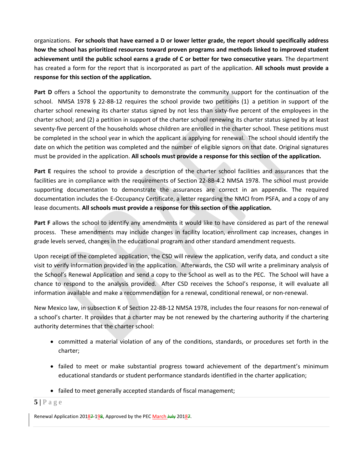organizations. **For schools that have earned a D or lower letter grade, the report should specifically address how the school has prioritized resources toward proven programs and methods linked to improved student achievement until the public school earns a grade of C or better for two consecutive years**. The department has created a form for the report that is incorporated as part of the application. **All schools must provide a response for this section of the application.**

**Part D** offers a School the opportunity to demonstrate the community support for the continuation of the school. NMSA 1978 § 22-8B-12 requires the school provide two petitions (1) a petition in support of the charter school renewing its charter status signed by not less than sixty-five percent of the employees in the charter school; and (2) a petition in support of the charter school renewing its charter status signed by at least seventy-five percent of the households whose children are enrolled in the charter school. These petitions must be completed in the school year in which the applicant is applying for renewal. The school should identify the date on which the petition was completed and the number of eligible signors on that date. Original signatures must be provided in the application. **All schools must provide a response for this section of the application.**

**Part E** requires the school to provide a description of the charter school facilities and assurances that the facilities are in compliance with the requirements of Section 22-8B-4.2 NMSA 1978. The school must provide supporting documentation to demonstrate the assurances are correct in an appendix. The required documentation includes the E-Occupancy Certificate, a letter regarding the NMCI from PSFA, and a copy of any lease documents. **All schools must provide a response for this section of the application.**

**Part F** allows the school to identify any amendments it would like to have considered as part of the renewal process. These amendments may include changes in facility location, enrollment cap increases, changes in grade levels served, changes in the educational program and other standard amendment requests.

Upon receipt of the completed application, the CSD will review the application, verify data, and conduct a site visit to verify information provided in the application. Afterwards, the CSD will write a preliminary analysis of the School's Renewal Application and send a copy to the School as well as to the PEC. The School will have a chance to respond to the analysis provided. After CSD receives the School's response, it will evaluate all information available and make a recommendation for a renewal, conditional renewal, or non-renewal.

New Mexico law, in subsection K of Section 22-8B-12 NMSA 1978, includes the four reasons for non-renewal of a school's charter. It provides that a charter may be not renewed by the chartering authority if the chartering authority determines that the charter school:

- committed a material violation of any of the conditions, standards, or procedures set forth in the charter;
- failed to meet or make substantial progress toward achievement of the department's minimum educational standards or student performance standards identified in the charter application;
- failed to meet generally accepted standards of fiscal management;
- $5|$   $P$  a g e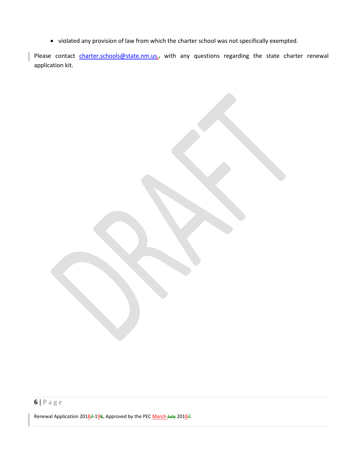• violated any provision of law from which the charter school was not specifically exempted.

Please contact *charter.schools@state.nm.us*<sub>17</sub> with any questions regarding the state charter renewal application kit.

# **6 |** Page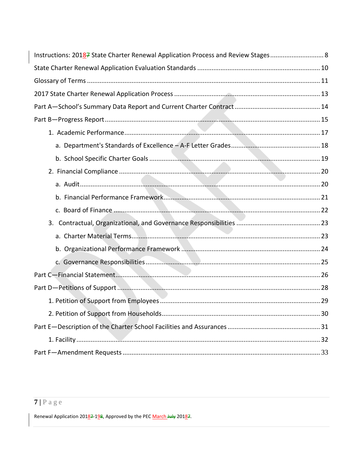| Instructions: 20187 State Charter Renewal Application Process and Review Stages 8 |  |
|-----------------------------------------------------------------------------------|--|
|                                                                                   |  |
|                                                                                   |  |
|                                                                                   |  |
|                                                                                   |  |
|                                                                                   |  |
|                                                                                   |  |
|                                                                                   |  |
|                                                                                   |  |
|                                                                                   |  |
|                                                                                   |  |
|                                                                                   |  |
|                                                                                   |  |
|                                                                                   |  |
|                                                                                   |  |
|                                                                                   |  |
|                                                                                   |  |
|                                                                                   |  |
|                                                                                   |  |
|                                                                                   |  |
|                                                                                   |  |
|                                                                                   |  |
|                                                                                   |  |
|                                                                                   |  |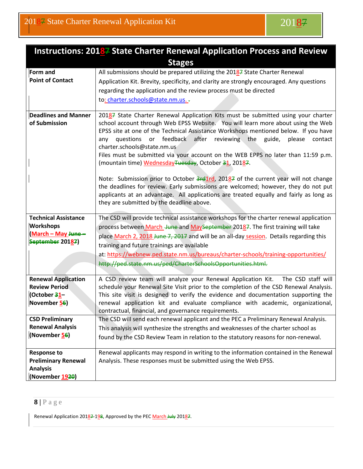![](_page_8_Picture_1.jpeg)

<span id="page-8-0"></span>

| Instructions: 20187 State Charter Renewal Application Process and Review |                                                                                                                                                                              |  |  |  |  |
|--------------------------------------------------------------------------|------------------------------------------------------------------------------------------------------------------------------------------------------------------------------|--|--|--|--|
|                                                                          | <b>Stages</b>                                                                                                                                                                |  |  |  |  |
| Form and                                                                 | All submissions should be prepared utilizing the 20187 State Charter Renewal                                                                                                 |  |  |  |  |
| <b>Point of Contact</b>                                                  | Application Kit. Brevity, specificity, and clarity are strongly encouraged. Any questions                                                                                    |  |  |  |  |
|                                                                          | regarding the application and the review process must be directed                                                                                                            |  |  |  |  |
|                                                                          | to: charter.schools@state.nm.us                                                                                                                                              |  |  |  |  |
|                                                                          |                                                                                                                                                                              |  |  |  |  |
| <b>Deadlines and Manner</b>                                              | 20187 State Charter Renewal Application Kits must be submitted using your charter                                                                                            |  |  |  |  |
| of Submission                                                            | school account through Web EPSS Website. You will learn more about using the Web                                                                                             |  |  |  |  |
|                                                                          | EPSS site at one of the Technical Assistance Workshops mentioned below. If you have<br>or feedback<br>after<br>reviewing the<br>guide, please<br>questions<br>contact<br>any |  |  |  |  |
|                                                                          | charter.schools@state.nm.us                                                                                                                                                  |  |  |  |  |
|                                                                          | Files must be submitted via your account on the WEB EPPS no later than 11:59 p.m.                                                                                            |  |  |  |  |
|                                                                          | (mountain time) WednesdayTuesday, October 31, 20187.                                                                                                                         |  |  |  |  |
|                                                                          |                                                                                                                                                                              |  |  |  |  |
|                                                                          | Note: Submission prior to October 3rd1rd, 20187 of the current year will not change                                                                                          |  |  |  |  |
|                                                                          | the deadlines for review. Early submissions are welcomed; however, they do not put                                                                                           |  |  |  |  |
|                                                                          | applicants at an advantage. All applications are treated equally and fairly as long as<br>they are submitted by the deadline above.                                          |  |  |  |  |
|                                                                          |                                                                                                                                                                              |  |  |  |  |
|                                                                          |                                                                                                                                                                              |  |  |  |  |
| <b>Technical Assistance</b>                                              | The CSD will provide technical assistance workshops for the charter renewal application                                                                                      |  |  |  |  |
| <b>Workshops</b>                                                         | process between March June and MaySeptember 20187. The first training will take                                                                                              |  |  |  |  |
| (March - May June -                                                      | place March 2, 2018 June 7, 2017 and will be an all-day session. Details regarding this                                                                                      |  |  |  |  |
| September 20187)                                                         | training and future trainings are available                                                                                                                                  |  |  |  |  |
|                                                                          | at: https://webnew.ped.state.nm.us/bureaus/charter-schools/training-opportunities/                                                                                           |  |  |  |  |
|                                                                          | http://ped.state.nm.us/ped/CharterSchoolsOpportunities.html.                                                                                                                 |  |  |  |  |
|                                                                          |                                                                                                                                                                              |  |  |  |  |
| <b>Renewal Application</b>                                               | A CSD review team will analyze your Renewal Application Kit.<br>The CSD staff will                                                                                           |  |  |  |  |
| <b>Review Period</b>                                                     | schedule your Renewal Site Visit prior to the completion of the CSD Renewal Analysis.                                                                                        |  |  |  |  |
| (October 31-                                                             | This site visit is designed to verify the evidence and documentation supporting the                                                                                          |  |  |  |  |
| November 56)                                                             | renewal application kit and evaluate compliance with academic, organizational,                                                                                               |  |  |  |  |
| <b>CSD Preliminary</b>                                                   | contractual, financial, and governance requirements.<br>The CSD will send each renewal applicant and the PEC a Preliminary Renewal Analysis.                                 |  |  |  |  |
| <b>Renewal Analysis</b>                                                  | This analysis will synthesize the strengths and weaknesses of the charter school as                                                                                          |  |  |  |  |
| (November 56)                                                            | found by the CSD Review Team in relation to the statutory reasons for non-renewal.                                                                                           |  |  |  |  |
|                                                                          |                                                                                                                                                                              |  |  |  |  |
| <b>Response to</b>                                                       | Renewal applicants may respond in writing to the information contained in the Renewal                                                                                        |  |  |  |  |
| <b>Preliminary Renewal</b><br><b>Analysis</b>                            | Analysis. These responses must be submitted using the Web EPSS.                                                                                                              |  |  |  |  |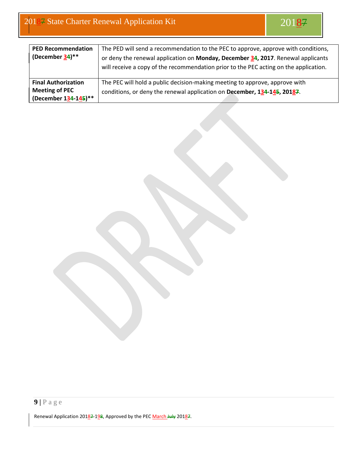| <b>PED Recommendation</b>  | The PED will send a recommendation to the PEC to approve, approve with conditions,    |
|----------------------------|---------------------------------------------------------------------------------------|
| (December 34)**            | or deny the renewal application on Monday, December 34, 2017. Renewal applicants      |
|                            | will receive a copy of the recommendation prior to the PEC acting on the application. |
|                            |                                                                                       |
| <b>Final Authorization</b> | The PEC will hold a public decision-making meeting to approve, approve with           |
| <b>Meeting of PEC</b>      | conditions, or deny the renewal application on December, 134-145, 20187.              |
| (December 134-145)**       |                                                                                       |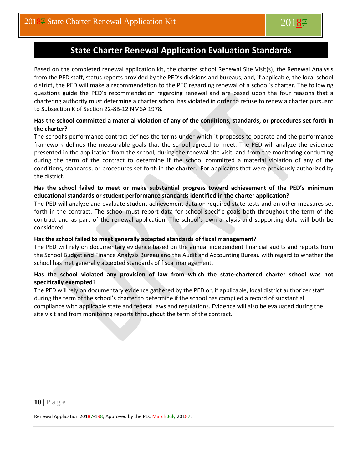# **State Charter Renewal Application Evaluation Standards**

<span id="page-10-0"></span>Based on the completed renewal application kit, the charter school Renewal Site Visit(s), the Renewal Analysis from the PED staff, status reports provided by the PED's divisions and bureaus, and, if applicable, the local school district, the PED will make a recommendation to the PEC regarding renewal of a school's charter. The following questions guide the PED's recommendation regarding renewal and are based upon the four reasons that a chartering authority must determine a charter school has violated in order to refuse to renew a charter pursuant to Subsection K of Section 22-8B-12 NMSA 1978*.*

#### **Has the school committed a material violation of any of the conditions, standards, or procedures set forth in the charter?**

The school's performance contract defines the terms under which it proposes to operate and the performance framework defines the measurable goals that the school agreed to meet. The PED will analyze the evidence presented in the application from the school, during the renewal site visit, and from the monitoring conducting during the term of the contract to determine if the school committed a material violation of any of the conditions, standards, or procedures set forth in the charter. For applicants that were previously authorized by the district.

#### **Has the school failed to meet or make substantial progress toward achievement of the PED's minimum educational standards or student performance standards identified in the charter application?**

The PED will analyze and evaluate student achievement data on required state tests and on other measures set forth in the contract. The school must report data for school specific goals both throughout the term of the contract and as part of the renewal application. The school's own analysis and supporting data will both be considered.

#### **Has the school failed to meet generally accepted standards of fiscal management?**

The PED will rely on documentary evidence based on the annual independent financial audits and reports from the School Budget and Finance Analysis Bureau and the Audit and Accounting Bureau with regard to whether the school has met generally accepted standards of fiscal management.

#### **Has the school violated any provision of law from which the state-chartered charter school was not specifically exempted?**

The PED will rely on documentary evidence gathered by the PED or, if applicable, local district authorizer staff during the term of the school's charter to determine if the school has compiled a record of substantial compliance with applicable state and federal laws and regulations. Evidence will also be evaluated during the site visit and from monitoring reports throughout the term of the contract.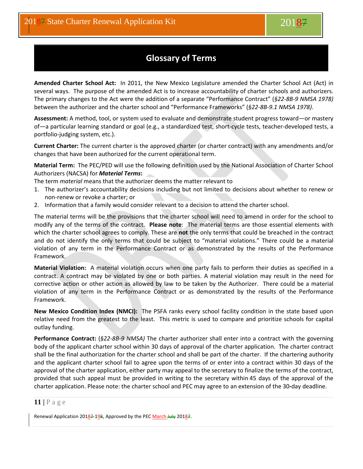# **Glossary of Terms**

<span id="page-11-0"></span>**Amended Charter School Act:** In 2011, the New Mexico Legislature amended the Charter School Act (Act) in several ways. The purpose of the amended Act is to increase accountability of charter schools and authorizers. The primary changes to the Act were the addition of a separate "Performance Contract" (*§22-8B-9 NMSA 1978)* between the authorizer and the charter school and "Performance Frameworks" (*§22-8B-9.1 NMSA 1978)*.

**Assessment:** A method, tool, or system used to evaluate and demonstrate student progress toward—or mastery of—a particular learning standard or goal (e.g., a standardized test, short-cycle tests, teacher-developed tests, a portfolio-judging system, etc.).

**Current Charter:** The current charter is the approved charter (or charter contract) with any amendments and/or changes that have been authorized for the current operational term.

**Material Term:** The PEC/PED will use the following definition used by the National Association of Charter School Authorizers (NACSA) for *Material Terms***:**

The term *material* means that the authorizer deems the matter relevant to

- 1. The authorizer's accountability decisions including but not limited to decisions about whether to renew or non-renew or revoke a charter; or
- 2. Information that a family would consider relevant to a decision to attend the charter school.

The material terms will be the provisions that the charter school will need to amend in order for the school to modify any of the terms of the contract. **Please note**: The material terms are those essential elements with which the charter school agrees to comply. These are **not** the only terms that could be breached in the contract and do not identify the only terms that could be subject to "material violations." There could be a material violation of any term in the Performance Contract or as demonstrated by the results of the Performance Framework.

**Material Violation:** A material violation occurs when one party fails to perform their duties as specified in a contract. A contract may be violated by one or both parties. A material violation may result in the need for corrective action or other action as allowed by law to be taken by the Authorizer. There could be a material violation of any term in the Performance Contract or as demonstrated by the results of the Performance Framework.

**New Mexico Condition Index (NMCI):** The PSFA ranks every school facility condition in the state based upon relative need from the greatest to the least. This metric is used to compare and prioritize schools for capital outlay funding.

**Performance Contract:** (*§22-8B-9 NMSA)* The charter authorizer shall enter into a contract with the governing body of the applicant charter school within 30 days of approval of the charter application. The charter contract shall be the final authorization for the charter school and shall be part of the charter. If the chartering authority and the applicant charter school fail to agree upon the terms of or enter into a contract within 30 days of the approval of the charter application, either party may appeal to the secretary to finalize the terms of the contract, provided that such appeal must be provided in writing to the secretary within 45 days of the approval of the charter application. Please note: the charter school and PEC may agree to an extension of the 30**-**day deadline.

#### **11 |** Page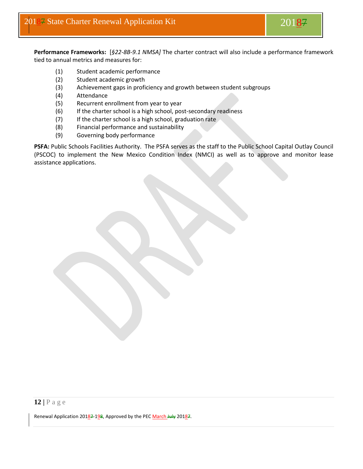**Performance Frameworks:** [*§22-8B-9.1 NMSA]* The charter contract will also include a performance framework tied to annual metrics and measures for:

- (1) Student academic performance
- (2) Student academic growth
- (3) Achievement gaps in proficiency and growth between student subgroups
- (4) Attendance
- (5) Recurrent enrollment from year to year
- (6) If the charter school is a high school, post-secondary readiness
- (7) If the charter school is a high school, graduation rate
- (8) Financial performance and sustainability
- (9) Governing body performance

PSFA: Public Schools Facilities Authority. The PSFA serves as the staff to the Public School Capital Outlay Council (PSCOC) to implement the New Mexico Condition Index (NMCI) as well as to approve and monitor lease assistance applications.

#### **12 |** Page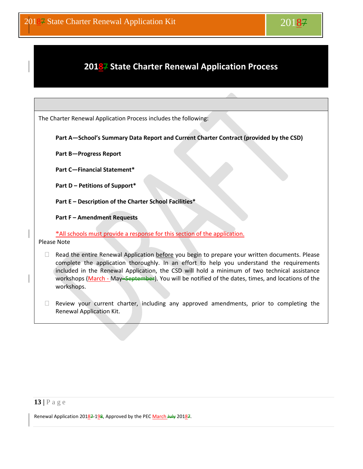# <span id="page-13-0"></span>**20187 State Charter Renewal Application Process**

The Charter Renewal Application Process includes the following:

**Part A—School's Summary Data Report and Current Charter Contract (provided by the CSD)**

**Part B—Progress Report**

**Part C—Financial Statement\***

**Part D – Petitions of Support\***

**Part E – Description of the Charter School Facilities\***

**Part F – Amendment Requests** 

\*All schools must provide a response for this section of the application. Please Note

 $\Box$  Read the entire Renewal Application before you begin to prepare your written documents. Please complete the application thoroughly. In an effort to help you understand the requirements included in the Renewal Application, the CSD will hold a minimum of two technical assistance workshops (March - May–September). You will be notified of the dates, times, and locations of the workshops.

 $\Box$  Review your current charter, including any approved amendments, prior to completing the Renewal Application Kit.

#### **13 |** Page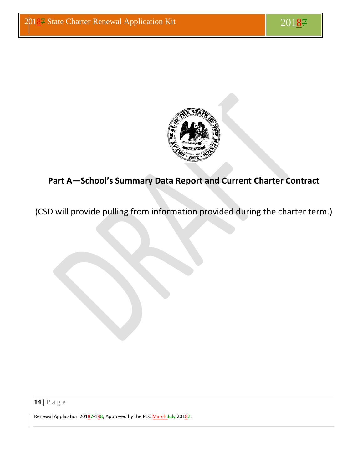![](_page_14_Picture_2.jpeg)

# <span id="page-14-0"></span>**Part A—School's Summary Data Report and Current Charter Contract**

(CSD will provide pulling from information provided during the charter term.)

**14 |** Page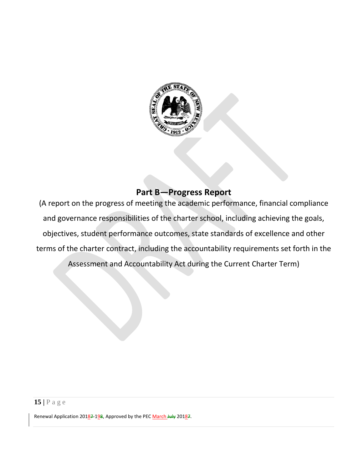![](_page_15_Picture_0.jpeg)

# **Part B—Progress Report**

<span id="page-15-0"></span>(A report on the progress of meeting the academic performance, financial compliance and governance responsibilities of the charter school, including achieving the goals, objectives, student performance outcomes, state standards of excellence and other terms of the charter contract, including the accountability requirements set forth in the Assessment and Accountability Act during the Current Charter Term)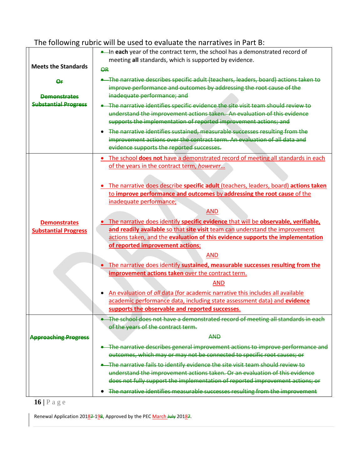# The following rubric will be used to evaluate the narratives in Part B:

|                                                    | . In each year of the contract term, the school has a demonstrated record of<br>meeting all standards, which is supported by evidence.                                                                                            |  |  |  |  |  |  |
|----------------------------------------------------|-----------------------------------------------------------------------------------------------------------------------------------------------------------------------------------------------------------------------------------|--|--|--|--|--|--|
| <b>Meets the Standards</b>                         | <b>OR</b>                                                                                                                                                                                                                         |  |  |  |  |  |  |
| ۵r<br><b>Demonstrates</b>                          | • The narrative describes specific adult (teachers, leaders, board) actions taken to<br>improve performance and outcomes by addressing the root cause of the<br>inadequate performance; and                                       |  |  |  |  |  |  |
| <b>Substantial Progress</b>                        | . The narrative identifies specific evidence the site visit team should review to<br>understand the improvement actions taken. An evaluation of this evidence<br>supports the implementation of reported improvement actions; and |  |  |  |  |  |  |
|                                                    | The narrative identifies sustained, measurable successes resulting from the<br>$\bullet$<br>improvement actions over the contract term. An evaluation of all data and<br>evidence supports the reported successes.                |  |  |  |  |  |  |
|                                                    | The school does not have a demonstrated record of meeting all standards in each<br>$\bullet$<br>of the years in the contract term, however                                                                                        |  |  |  |  |  |  |
|                                                    | The narrative does describe specific adult (teachers, leaders, board) actions taken<br>to improve performance and outcomes by addressing the root cause of the<br>inadequate performance;                                         |  |  |  |  |  |  |
|                                                    | <b>AND</b>                                                                                                                                                                                                                        |  |  |  |  |  |  |
| <b>Demonstrates</b><br><b>Substantial Progress</b> | The narrative does identify specific evidence that will be observable, verifiable,<br>and readily available so that site visit team can understand the improvement                                                                |  |  |  |  |  |  |
|                                                    | actions taken, and the evaluation of this evidence supports the implementation                                                                                                                                                    |  |  |  |  |  |  |
|                                                    | of reported improvement actions;                                                                                                                                                                                                  |  |  |  |  |  |  |
|                                                    | <b>AND</b>                                                                                                                                                                                                                        |  |  |  |  |  |  |
|                                                    | The narrative does identify sustained, measurable successes resulting from the                                                                                                                                                    |  |  |  |  |  |  |
|                                                    | improvement actions taken over the contract term.                                                                                                                                                                                 |  |  |  |  |  |  |
|                                                    | <b>AND</b>                                                                                                                                                                                                                        |  |  |  |  |  |  |
|                                                    | An evaluation of all data (for academic narrative this includes all available<br>academic performance data, including state assessment data) and evidence                                                                         |  |  |  |  |  |  |
|                                                    | supports the observable and reported successes.                                                                                                                                                                                   |  |  |  |  |  |  |
|                                                    | The school does not have a demonstrated record of meeting all standards in each                                                                                                                                                   |  |  |  |  |  |  |
|                                                    | of the years of the contract term.                                                                                                                                                                                                |  |  |  |  |  |  |
| <b>Approaching Progress</b>                        | <b>AND</b>                                                                                                                                                                                                                        |  |  |  |  |  |  |
|                                                    | • The narrative describes general improvement actions to improve performance and<br>outcomes, which may or may not be connected to specific root causes; or                                                                       |  |  |  |  |  |  |
|                                                    | . The narrative fails to identify evidence the site visit team should review to                                                                                                                                                   |  |  |  |  |  |  |
|                                                    | understand the improvement actions taken. Or an evaluation of this evidence                                                                                                                                                       |  |  |  |  |  |  |
|                                                    | does not fully support the implementation of reported improvement actions; or                                                                                                                                                     |  |  |  |  |  |  |
|                                                    | The narrative identifies measurable successes resulting from the improvement                                                                                                                                                      |  |  |  |  |  |  |

![](_page_16_Figure_2.jpeg)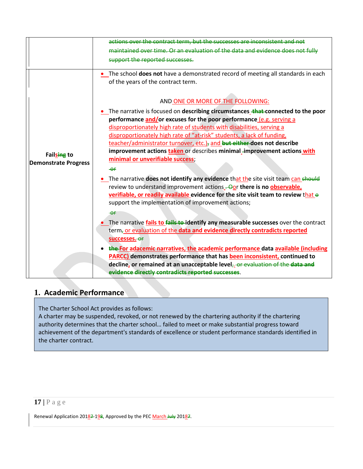|                             | actions over the contract term, but the successes are inconsistent and not                |
|-----------------------------|-------------------------------------------------------------------------------------------|
|                             | maintained over time. Or an evaluation of the data and evidence does not fully            |
|                             |                                                                                           |
|                             | support the reported successes.                                                           |
|                             | . The school does not have a demonstrated record of meeting all standards in each         |
|                             | of the years of the contract term.                                                        |
|                             | AND ONE OR MORE OF THE FOLLOWING:                                                         |
|                             |                                                                                           |
|                             | • The narrative is focused on describing circumstances that connected to the poor         |
|                             | performance and/or excuses for the poor performance (e.g. serving a                       |
|                             | disproportionately high rate of students with disabilities, serving a                     |
|                             | disproportionately high rate of "at-risk" students, a lack of funding,                    |
|                             | teacher/administrator turnover, etc.), and but either does not describe                   |
| Failsing to                 | improvement actions taken or describes minimal -improvement actions with                  |
| <b>Demonstrate Progress</b> | minimal or unverifiable success;                                                          |
|                             | $-er$                                                                                     |
|                             | • The narrative does not identify any evidence that the site visit team can should        |
|                             | review to understand improvement actions - Oor there is no observable,                    |
|                             | verifiable, or readily available evidence for the site visit team to review that $\Theta$ |
|                             | support the implementation of improvement actions;                                        |
|                             | $-\theta$ f                                                                               |
|                             | The narrative fails to fails to identify any measurable successes over the contract       |
|                             | term <sub>7</sub> or evaluation of the data and evidence directly contradicts reported    |
|                             | successes. Or                                                                             |
|                             | the For adacemic narratives, the academic performance data available (including           |
|                             | <b>PARCC)</b> demonstrates performance that has been inconsistent, continued to           |
|                             | decline, or remained at an unacceptable level <sub>7</sub> or evaluation of the data and  |
|                             | evidence directly contradicts reported successes.                                         |
|                             |                                                                                           |

## <span id="page-17-0"></span>**1. Academic Performance**

The Charter School Act provides as follows:

A charter may be suspended, revoked, or not renewed by the chartering authority if the chartering authority determines that the charter school… failed to meet or make substantial progress toward achievement of the department's standards of excellence or student performance standards identified in the charter contract.

## **17 |** Page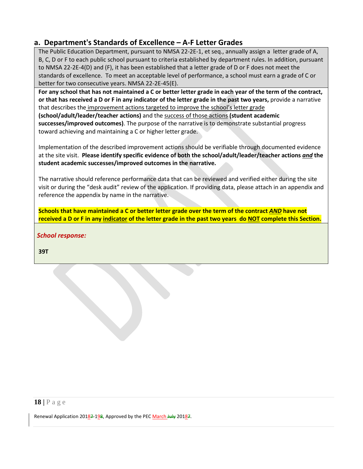## <span id="page-18-0"></span>**a. Department's Standards of Excellence – A-F Letter Grades**

The Public Education Department, pursuant to NMSA 22-2E-1, et seq., annually assign a letter grade of A, B, C, D or F to each public school pursuant to criteria established by department rules. In addition, pursuant to NMSA 22-2E-4(D) and (F), it has been established that a letter grade of D or F does not meet the standards of excellence. To meet an acceptable level of performance, a school must earn a grade of C or better for two consecutive years. NMSA 22-2E-45(E).

**For any school that has not maintained a C or better letter grade in each year of the term of the contract, or that has received a D or F in any indicator of the letter grade in the past two years,** provide a narrative that describes the improvement actions targeted to improve the school's letter grade

**(school/adult/leader/teacher actions)** and the success of those actions **(student academic successes/improved outcomes)**. The purpose of the narrative is to demonstrate substantial progress toward achieving and maintaining a C or higher letter grade.

Implementation of the described improvement actions should be verifiable through documented evidence at the site visit. **Please identify specific evidence of both the school/adult/leader/teacher actions** *and* **the student academic successes/improved outcomes in the narrative.**

The narrative should reference performance data that can be reviewed and verified either during the site visit or during the "desk audit" review of the application. If providing data, please attach in an appendix and reference the appendix by name in the narrative.

**Schools that have maintained a C or better letter grade over the term of the contract** *AND* **have not received a D or F in any indicator of the letter grade in the past two years do NOT complete this Section.**

*School response:* 

**39T**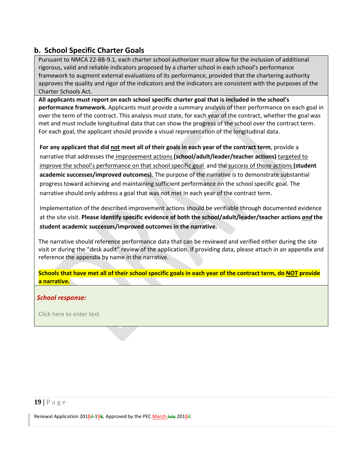## <span id="page-19-0"></span>**b. School Specific Charter Goals**

Pursuant to NMCA 22-8B-9.1, each charter school authorizer must allow for the inclusion of additional rigorous, valid and reliable indicators proposed by a charter school in each school's performance framework to augment external evaluations of its performance, provided that the chartering authority approves the quality and rigor of the indicators and the indicators are consistent with the purposes of the Charter Schools Act.

**All applicants must report on each school specific charter goal that is included in the school's performance framework.** Applicants must provide a summary analysis of their performance on each goal in over the term of the contract. This analysis must state, for each year of the contract, whether the goal was met and must include longitudinal data that can show the progress of the school over the contract term. For each goal, the applicant should provide a visual representation of the longitudinal data.

**For any applicant that did not meet all of their goals in each year of the contract term**, provide a narrative that addresses the improvement actions **(school/adult/leader/teacher actions)** targeted to improve the school's performance on that school specific goal and the success of those actions **(student academic successes/improved outcomes)**. The purpose of the narrative is to demonstrate substantial progress toward achieving and maintaining sufficient performance on the school specific goal. The narrative should only address a goal that was not met in each year of the contract term.

Implementation of the described improvement actions should be verifiable through documented evidence at the site visit. **Please identify specific evidence of both the school/adult/leader/teacher actions** *and* **the student academic successes/improved outcomes in the narrative.**

The narrative should reference performance data that can be reviewed and verified either during the site visit or during the "desk audit" review of the application. If providing data, please attach in an appendix and reference the appendix by name in the narrative.

**Schools that have met all of their school specific goals in each year of the contract term, do NOT provide a narrative.**

#### *School response:*

Click here to enter text.

#### **19 |** Page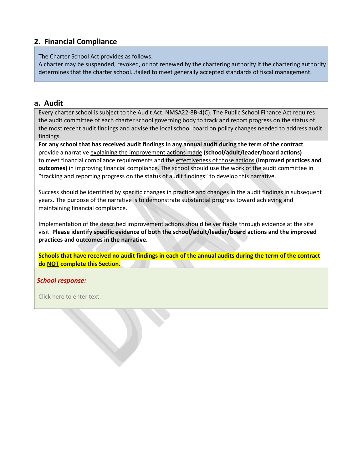## <span id="page-20-0"></span>**2. Financial Compliance**

The Charter School Act provides as follows:

A charter may be suspended, revoked, or not renewed by the chartering authority if the chartering authority determines that the charter school…failed to meet generally accepted standards of fiscal management.

#### <span id="page-20-1"></span>**a. Audit**

Every charter school is subject to the Audit Act. NMSA22-8B-4(C). The Public School Finance Act requires the audit committee of each charter school governing body to track and report progress on the status of the most recent audit findings and advise the local school board on policy changes needed to address audit findings.

**For any school that has received audit findings in any annual audit during the term of the contract** provide a narrative explaining the improvement actions made **(school/adult/leader/board actions)**  to meet financial compliance requirements and the effectiveness of those actions **(improved practices and outcomes)** in improving financial compliance. The school should use the work of the audit committee in "tracking and reporting progress on the status of audit findings" to develop this narrative.

Success should be identified by specific changes in practice and changes in the audit findings in subsequent years. The purpose of the narrative is to demonstrate substantial progress toward achieving and maintaining financial compliance.

Implementation of the described improvement actions should be verifiable through evidence at the site visit. **Please identify specific evidence of both the school/adult/leader/board actions and the improved practices and outcomes in the narrative.**

**Schools that have received no audit findings in each of the annual audits during the term of the contract do NOT complete this Section.**

#### *School response:*

Click here to enter text.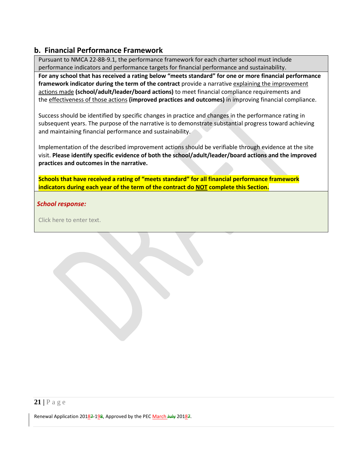## <span id="page-21-0"></span>**b. Financial Performance Framework**

Pursuant to NMCA 22-8B-9.1, the performance framework for each charter school must include performance indicators and performance targets for financial performance and sustainability.

**For any school that has received a rating below "meets standard" for one or more financial performance framework indicator during the term of the contract** provide a narrative explaining the improvement actions made **(school/adult/leader/board actions)** to meet financial compliance requirements and the effectiveness of those actions **(improved practices and outcomes)** in improving financial compliance.

Success should be identified by specific changes in practice and changes in the performance rating in subsequent years. The purpose of the narrative is to demonstrate substantial progress toward achieving and maintaining financial performance and sustainability.

Implementation of the described improvement actions should be verifiable through evidence at the site visit. **Please identify specific evidence of both the school/adult/leader/board actions and the improved practices and outcomes in the narrative.**

**Schools that have received a rating of "meets standard" for all financial performance framework indicators during each year of the term of the contract do NOT complete this Section.**

#### *School response:*

Click here to enter text.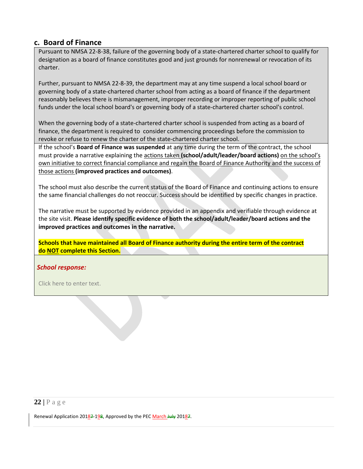#### <span id="page-22-0"></span>**c. Board of Finance**

Pursuant to NMSA 22-8-38, failure of the governing body of a state-chartered charter school to qualify for designation as a board of finance constitutes good and just grounds for nonrenewal or revocation of its charter.

Further, pursuant to NMSA 22-8-39, the department may at any time suspend a local school board or governing body of a state-chartered charter school from acting as a board of finance if the department reasonably believes there is mismanagement, improper recording or improper reporting of public school funds under the local school board's or governing body of a state-chartered charter school's control.

When the governing body of a state-chartered charter school is suspended from acting as a board of finance, the department is required to consider commencing proceedings before the commission to revoke or refuse to renew the charter of the state-chartered charter school.

If the school's **Board of Finance was suspended** at any time during the term of the contract, the school must provide a narrative explaining the actions taken **(school/adult/leader/board actions)** on the school's own initiative to correct financial compliance and regain the Board of Finance Authority and the success of those actions **(improved practices and outcomes)**.

The school must also describe the current status of the Board of Finance and continuing actions to ensure the same financial challenges do not reoccur. Success should be identified by specific changes in practice.

The narrative must be supported by evidence provided in an appendix and verifiable through evidence at the site visit. **Please identify specific evidence of both the school/adult/leader/board actions and the improved practices and outcomes in the narrative.**

**Schools that have maintained all Board of Finance authority during the entire term of the contract do NOT complete this Section.**

#### *School response:*

Click here to enter text.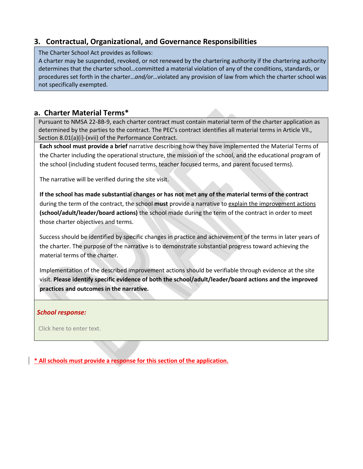## <span id="page-23-0"></span>**3. Contractual, Organizational, and Governance Responsibilities**

The Charter School Act provides as follows:

A charter may be suspended, revoked, or not renewed by the chartering authority if the chartering authority determines that the charter school…committed a material violation of any of the conditions, standards, or procedures set forth in the charter…*and/or*…violated any provision of law from which the charter school was not specifically exempted.

## <span id="page-23-1"></span>**a. Charter Material Terms\***

Pursuant to NMSA 22-8B-9, each charter contract must contain material term of the charter application as determined by the parties to the contract. The PEC's contract identifies all material terms in Article VII., Section 8.01(a)(i)-(xvii) of the Performance Contract.

**Each school must provide a brief** narrative describing how they have implemented the Material Terms of the Charter including the operational structure, the mission of the school, and the educational program of the school (including student focused terms, teacher focused terms, and parent focused terms).

The narrative will be verified during the site visit.

**If the school has made substantial changes or has not met any of the material terms of the contract** during the term of the contract, the school **must** provide a narrative to explain the improvement actions **(school/adult/leader/board actions)** the school made during the term of the contract in order to meet those charter objectives and terms.

Success should be identified by specific changes in practice and achievement of the terms in later years of the charter. The purpose of the narrative is to demonstrate substantial progress toward achieving the material terms of the charter.

Implementation of the described improvement actions should be verifiable through evidence at the site visit. **Please identify specific evidence of both the school/adult/leader/board actions and the improved practices and outcomes in the narrative.**

#### *School response:*

Click here to enter text.

**\* All schools must provide a response for this section of the application.**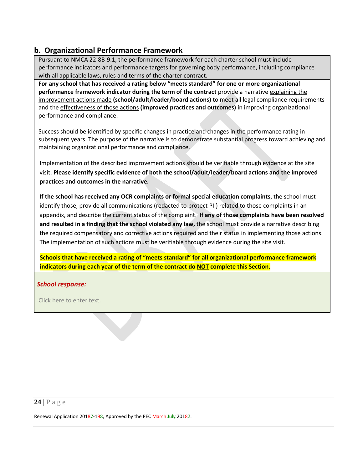## <span id="page-24-0"></span>**b. Organizational Performance Framework**

Pursuant to NMCA 22-8B-9.1, the performance framework for each charter school must include performance indicators and performance targets for governing body performance, including compliance with all applicable laws, rules and terms of the charter contract.

**For any school that has received a rating below "meets standard" for one or more organizational performance framework indicator during the term of the contract** provide a narrative explaining the improvement actions made **(school/adult/leader/board actions)** to meet all legal compliance requirements and the effectiveness of those actions **(improved practices and outcomes)** in improving organizational performance and compliance.

Success should be identified by specific changes in practice and changes in the performance rating in subsequent years. The purpose of the narrative is to demonstrate substantial progress toward achieving and maintaining organizational performance and compliance.

Implementation of the described improvement actions should be verifiable through evidence at the site visit. **Please identify specific evidence of both the school/adult/leader/board actions and the improved practices and outcomes in the narrative.**

**If the school has received any OCR complaints or formal special education complaints**, the school must identify those, provide all communications (redacted to protect PII) related to those complaints in an appendix, and describe the current status of the complaint. I**f any of those complaints have been resolved and resulted in a finding that the school violated any law,** the school must provide a narrative describing the required compensatory and corrective actions required and their status in implementing those actions. The implementation of such actions must be verifiable through evidence during the site visit.

**Schools that have received a rating of "meets standard" for all organizational performance framework indicators during each year of the term of the contract do NOT complete this Section.**

#### *School response:*

Click here to enter text.

#### **24 |** Page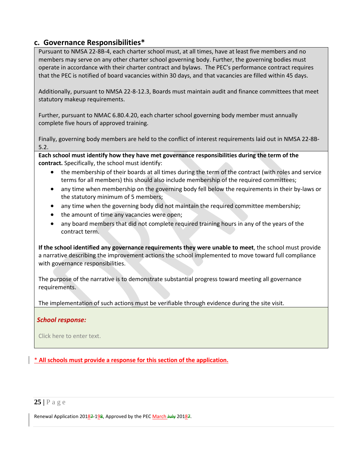### <span id="page-25-0"></span>**c. Governance Responsibilities\***

Pursuant to NMSA 22-8B-4, each charter school must, at all times, have at least five members and no members may serve on any other charter school governing body. Further, the governing bodies must operate in accordance with their charter contract and bylaws. The PEC's performance contract requires that the PEC is notified of board vacancies within 30 days, and that vacancies are filled within 45 days.

Additionally, pursuant to NMSA 22-8-12.3, Boards must maintain audit and finance committees that meet statutory makeup requirements.

Further, pursuant to NMAC 6.80.4.20, each charter school governing body member must annually complete five hours of approved training.

Finally, governing body members are held to the conflict of interest requirements laid out in NMSA 22-8B-5.2.

**Each school must identify how they have met governance responsibilities during the term of the contract.** Specifically, the school must identify:

- the membership of their boards at all times during the term of the contract (with roles and service terms for all members) this should also include membership of the required committees;
- any time when membership on the governing body fell below the requirements in their by-laws or the statutory minimum of 5 members;
- any time when the governing body did not maintain the required committee membership;
- the amount of time any vacancies were open;
- any board members that did not complete required training hours in any of the years of the contract term.

**If the school identified any governance requirements they were unable to meet**, the school must provide a narrative describing the improvement actions the school implemented to move toward full compliance with governance responsibilities.

The purpose of the narrative is to demonstrate substantial progress toward meeting all governance requirements.

The implementation of such actions must be verifiable through evidence during the site visit.

#### *School response:*

Click here to enter text.

\* **All schools must provide a response for this section of the application.**

#### **25 |** Page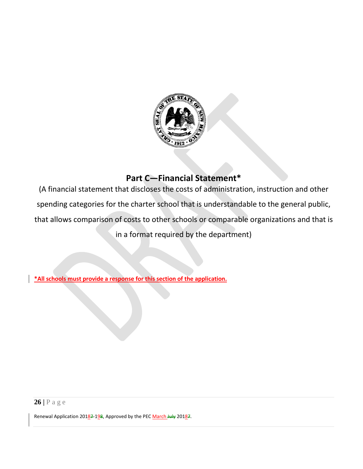![](_page_26_Picture_0.jpeg)

# **Part C—Financial Statement\***

<span id="page-26-0"></span>(A financial statement that discloses the costs of administration, instruction and other spending categories for the charter school that is understandable to the general public, that allows comparison of costs to other schools or comparable organizations and that is in a format required by the department)

**\*All schools must provide a response for this section of the application.**

**26 |** Page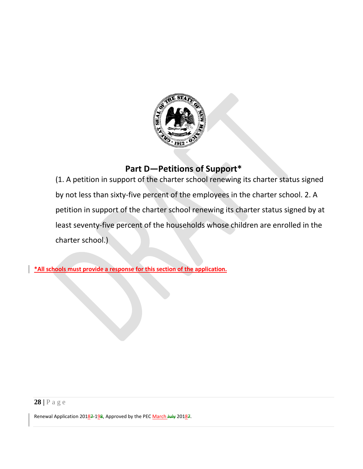![](_page_28_Picture_0.jpeg)

# **Part D—Petitions of Support\***

<span id="page-28-0"></span>(1. A petition in support of the charter school renewing its charter status signed by not less than sixty-five percent of the employees in the charter school. 2. A petition in support of the charter school renewing its charter status signed by at least seventy-five percent of the households whose children are enrolled in the charter school.)

**\*All schools must provide a response for this section of the application.**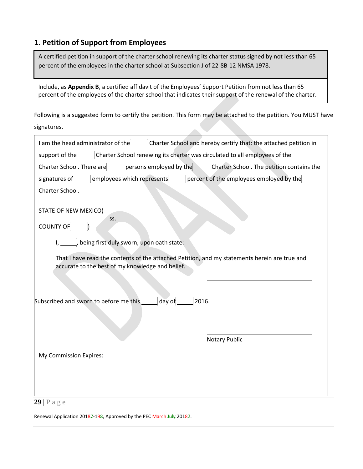## <span id="page-29-0"></span>**1. Petition of Support from Employees**

A certified petition in support of the charter school renewing its charter status signed by not less than 65 percent of the employees in the charter school at Subsection J of 22-8B-12 NMSA 1978.

Include, as **Appendix B**, a certified affidavit of the Employees' Support Petition from not less than 65 percent of the employees of the charter school that indicates their support of the renewal of the charter.

Following is a suggested form to certify the petition. This form may be attached to the petition. You MUST have signatures. **Allen** 

| I am the head administrator of the Charter School and hereby certify that: the attached petition in<br>support of the _______ Charter School renewing its charter was circulated to all employees of the _______<br>Charter School. There are persons employed by the Charter School. The petition contains the<br>signatures of <u>every employees which represents</u> enterperent of the employees employed by the<br>Charter School.<br>STATE OF NEW MEXICO)<br>SS.<br><b>COUNTY OF</b><br>I, ______, being first duly sworn, upon oath state:<br>That I have read the contents of the attached Petition, and my statements herein are true and<br>accurate to the best of my knowledge and belief.<br><b>Notary Public</b><br>My Commission Expires: |                                                                     |
|-----------------------------------------------------------------------------------------------------------------------------------------------------------------------------------------------------------------------------------------------------------------------------------------------------------------------------------------------------------------------------------------------------------------------------------------------------------------------------------------------------------------------------------------------------------------------------------------------------------------------------------------------------------------------------------------------------------------------------------------------------------|---------------------------------------------------------------------|
|                                                                                                                                                                                                                                                                                                                                                                                                                                                                                                                                                                                                                                                                                                                                                           |                                                                     |
|                                                                                                                                                                                                                                                                                                                                                                                                                                                                                                                                                                                                                                                                                                                                                           |                                                                     |
|                                                                                                                                                                                                                                                                                                                                                                                                                                                                                                                                                                                                                                                                                                                                                           |                                                                     |
|                                                                                                                                                                                                                                                                                                                                                                                                                                                                                                                                                                                                                                                                                                                                                           |                                                                     |
|                                                                                                                                                                                                                                                                                                                                                                                                                                                                                                                                                                                                                                                                                                                                                           |                                                                     |
|                                                                                                                                                                                                                                                                                                                                                                                                                                                                                                                                                                                                                                                                                                                                                           |                                                                     |
|                                                                                                                                                                                                                                                                                                                                                                                                                                                                                                                                                                                                                                                                                                                                                           |                                                                     |
|                                                                                                                                                                                                                                                                                                                                                                                                                                                                                                                                                                                                                                                                                                                                                           |                                                                     |
|                                                                                                                                                                                                                                                                                                                                                                                                                                                                                                                                                                                                                                                                                                                                                           | Subscribed and sworn to before me this _______ day of _______ 2016. |
|                                                                                                                                                                                                                                                                                                                                                                                                                                                                                                                                                                                                                                                                                                                                                           |                                                                     |
|                                                                                                                                                                                                                                                                                                                                                                                                                                                                                                                                                                                                                                                                                                                                                           |                                                                     |
|                                                                                                                                                                                                                                                                                                                                                                                                                                                                                                                                                                                                                                                                                                                                                           | $29$   P a g e                                                      |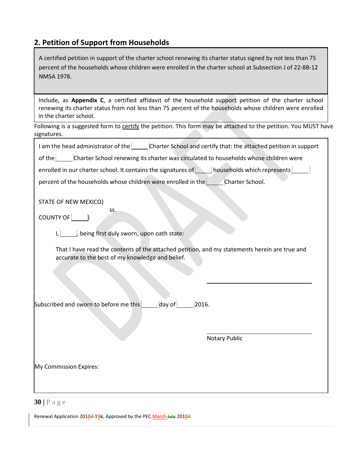# <span id="page-30-0"></span>**2. Petition of Support from Households**

| A certified petition in support of the charter school renewing its charter status signed by not less than 75<br>percent of the households whose children were enrolled in the charter school at Subsection J of 22-8B-12<br>NMSA 1978.                          |
|-----------------------------------------------------------------------------------------------------------------------------------------------------------------------------------------------------------------------------------------------------------------|
| Include, as Appendix C, a certified affidavit of the household support petition of the charter school<br>renewing its charter status from not less than 75 percent of the households whose children were enrolled<br>in the charter school.                     |
| Following is a suggested form to certify the petition. This form may be attached to the petition. You MUST have<br>signatures.                                                                                                                                  |
| I am the head administrator of the Charter School and certify that: the attached petition in support                                                                                                                                                            |
| of the Charter School renewing its charter was circulated to households whose children were                                                                                                                                                                     |
| enrolled in our charter school. It contains the signatures of <b>Nouseholds</b> which represents <b>Nove 20</b>                                                                                                                                                 |
| percent of the households whose children were enrolled in the Charter School.                                                                                                                                                                                   |
| STATE OF NEW MEXICO)<br>SS.<br>$COUNTY OF$ $\boxed{\qquad}$<br>I, being first duly sworn, upon oath state:<br>That I have read the contents of the attached petition, and my statements herein are true and<br>accurate to the best of my knowledge and belief. |
| day of $\sqrt{\frac{2}{1-\frac{1}{2}}$<br>Subscribed and sworn to before me this<br>2016.<br><b>Notary Public</b>                                                                                                                                               |
| My Commission Expires:                                                                                                                                                                                                                                          |
| $30$   P a g e                                                                                                                                                                                                                                                  |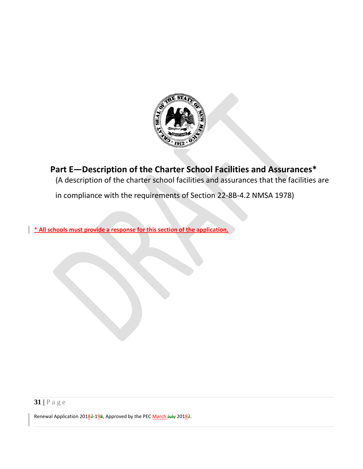![](_page_31_Picture_0.jpeg)

<span id="page-31-0"></span>**Part E—Description of the Charter School Facilities and Assurances\***

(A description of the charter school facilities and assurances that the facilities are

in compliance with the requirements of Section 22-8B-4.2 NMSA 1978)

\* **All schools must provide a response for this section of the application.**

**31 |** Page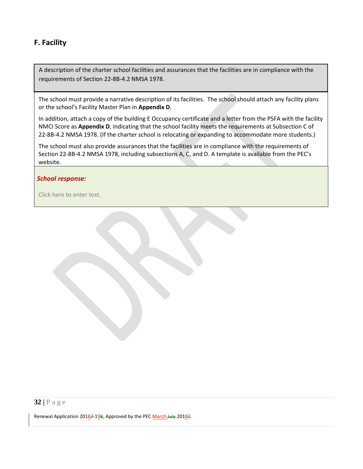## <span id="page-32-0"></span>**F. Facility**

A description of the charter school facilities and assurances that the facilities are in compliance with the requirements of Section 22-8B-4.2 NMSA 1978.

The school must provide a narrative description of its facilities. The school should attach any facility plans or the school's Facility Master Plan in **Appendix D**.

In addition, attach a copy of the building E Occupancy certificate and a letter from the PSFA with the facility NMCI Score as **Appendix D**, indicating that the school facility meets the requirements at Subsection C of 22-8B-4.2 NMSA 1978. (If the charter school is relocating or expanding to accommodate more students.)

The school must also provide assurances that the facilities are in compliance with the requirements of Section 22-8B-4.2 NMSA 1978, including subsections A, C, and D. A template is available from the PEC's website.

#### *School response:*

Click here to enter text.

## **32 |** Page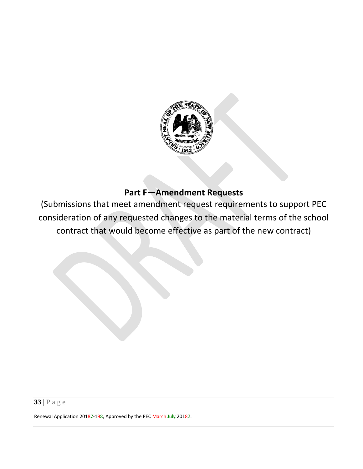![](_page_33_Picture_0.jpeg)

# **Part F—Amendment Requests**

<span id="page-33-0"></span>(Submissions that meet amendment request requirements to support PEC consideration of any requested changes to the material terms of the school contract that would become effective as part of the new contract)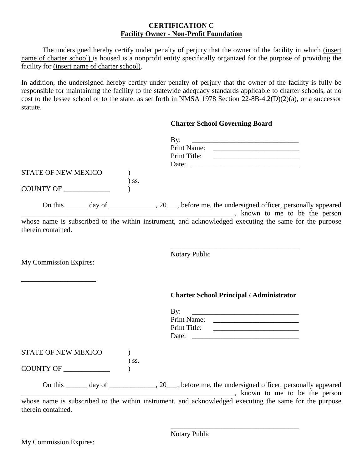#### **CERTIFICATION C Facility Owner - Non-Profit Foundation**

The undersigned hereby certify under penalty of perjury that the owner of the facility in which (insert name of charter school) is housed is a nonprofit entity specifically organized for the purpose of providing the facility for (insert name of charter school).

In addition, the undersigned hereby certify under penalty of perjury that the owner of the facility is fully be responsible for maintaining the facility to the statewide adequacy standards applicable to charter schools, at no cost to the lessee school or to the state, as set forth in NMSA 1978 Section  $22-8B-4.2(D)(2)(a)$ , or a successor statute.

|                            |         | <b>Charter School Governing Board</b>                                                                                                                                                                                             |
|----------------------------|---------|-----------------------------------------------------------------------------------------------------------------------------------------------------------------------------------------------------------------------------------|
|                            |         | By:<br><u> 1980 - Johann Barnett, fransk politiker (d. 1980)</u><br>Date:                                                                                                                                                         |
| <b>STATE OF NEW MEXICO</b> |         |                                                                                                                                                                                                                                   |
| COUNTY OF                  | $)$ ss. |                                                                                                                                                                                                                                   |
|                            |         | On this ______ day of ___________, 20___, before me, the undersigned officer, personally appeared<br>, known to me to be the person<br>whose name is subscribed to the within instrument, and acknowledged executing the same for |
| therein contained.         |         |                                                                                                                                                                                                                                   |
| My Commission Expires:     |         | Notary Public                                                                                                                                                                                                                     |
|                            |         | <b>Charter School Principal / Administrator</b>                                                                                                                                                                                   |
|                            |         | By:<br><u> 1980 - Jan Barbarat, margaret amerikan ba</u>                                                                                                                                                                          |
|                            |         | Print Name:                                                                                                                                                                                                                       |
|                            |         |                                                                                                                                                                                                                                   |
| STATE OF NEW MEXICO        |         |                                                                                                                                                                                                                                   |
| COUNTY OF                  | $)$ ss. |                                                                                                                                                                                                                                   |
|                            |         | On this _______ day of _______________, 20____, before me, the undersigned officer, personally appeared<br>known to me to be the person                                                                                           |
| therein contained.         |         | whose name is subscribed to the within instrument, and acknowledged executing the same for the purpose                                                                                                                            |

\_\_\_\_\_\_\_\_\_\_\_\_\_\_\_\_\_\_\_\_\_\_\_\_\_\_\_\_\_\_\_\_\_\_\_\_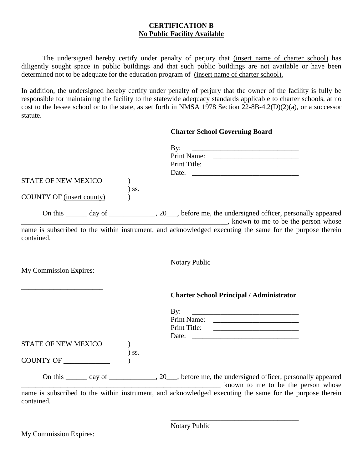#### **CERTIFICATION B No Public Facility Available**

The undersigned hereby certify under penalty of perjury that (insert name of charter school) has diligently sought space in public buildings and that such public buildings are not available or have been determined not to be adequate for the education program of (insert name of charter school).

In addition, the undersigned hereby certify under penalty of perjury that the owner of the facility is fully be responsible for maintaining the facility to the statewide adequacy standards applicable to charter schools, at no cost to the lessee school or to the state, as set forth in NMSA 1978 Section 22-8B-4.2(D)(2)(a), or a successor statute.

#### **Charter School Governing Board**

|                                  |         | By:<br><u> 1989 - Jan James James, politik eta idazleari (h. 1982).</u>                                                                                                                                                                                                                                                                   |
|----------------------------------|---------|-------------------------------------------------------------------------------------------------------------------------------------------------------------------------------------------------------------------------------------------------------------------------------------------------------------------------------------------|
|                                  |         |                                                                                                                                                                                                                                                                                                                                           |
| <b>STATE OF NEW MEXICO</b>       |         |                                                                                                                                                                                                                                                                                                                                           |
|                                  | $)$ ss. |                                                                                                                                                                                                                                                                                                                                           |
| <b>COUNTY OF (insert county)</b> |         |                                                                                                                                                                                                                                                                                                                                           |
|                                  |         | On this _______ day of _______________, 20____, before me, the undersigned officer, personally appeared<br>and the same state of the series of the series of the series of the person whose series of the series of the series of the series of the series of the series of the series of the series of the series of the series of the s |
| contained.                       |         | name is subscribed to the within instrument, and acknowledged executing the same for the purpose therein                                                                                                                                                                                                                                  |
| My Commission Expires:           |         | <b>Notary Public</b>                                                                                                                                                                                                                                                                                                                      |
|                                  |         | <b>Charter School Principal / Administrator</b>                                                                                                                                                                                                                                                                                           |
|                                  |         | By:<br><u> 1989 - Johann Harry Harry Harry Harry Harry Harry Harry Harry Harry Harry Harry Harry Harry Harry Harry Harry Harry Harry Harry Harry Harry Harry Harry Harry Harry Harry Harry Harry Harry Harry Harry Harry Harry Harry Ha</u>                                                                                               |
|                                  |         |                                                                                                                                                                                                                                                                                                                                           |
|                                  |         |                                                                                                                                                                                                                                                                                                                                           |
|                                  |         |                                                                                                                                                                                                                                                                                                                                           |
| STATE OF NEW MEXICO              | $)$ ss. |                                                                                                                                                                                                                                                                                                                                           |
|                                  |         |                                                                                                                                                                                                                                                                                                                                           |
|                                  |         | On this _______ day of _______________, 20___, before me, the undersigned officer, personally appeared<br>known to me to be the person whose                                                                                                                                                                                              |
| aantainad.                       |         | name is subscribed to the within instrument, and acknowledged executing the same for the purpose therein                                                                                                                                                                                                                                  |

contained.

\_\_\_\_\_\_\_\_\_\_\_\_\_\_\_\_\_\_\_\_\_\_\_\_\_\_\_\_\_\_\_\_\_\_\_\_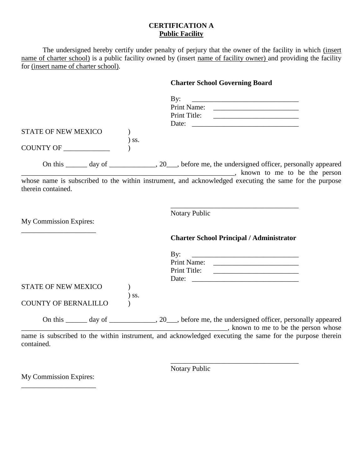#### **CERTIFICATION A Public Facility**

The undersigned hereby certify under penalty of perjury that the owner of the facility in which (insert name of charter school) is a public facility owned by (insert name of facility owner) and providing the facility for (insert name of charter school).

## **Charter School Governing Board**

|                             | By:<br><u> 1989 - Johann Stein, mars an deutscher Stein und der Stein und der Stein und der Stein und der Stein und der</u>                |
|-----------------------------|--------------------------------------------------------------------------------------------------------------------------------------------|
|                             |                                                                                                                                            |
|                             |                                                                                                                                            |
|                             |                                                                                                                                            |
| <b>STATE OF NEW MEXICO</b>  |                                                                                                                                            |
| ) ss.                       |                                                                                                                                            |
| COUNTY OF                   |                                                                                                                                            |
|                             | On this _______ day of _______________, 20___, before me, the undersigned officer, personally appeared<br>known to me to be the person     |
| therein contained.          | whose name is subscribed to the within instrument, and acknowledged executing the same for the purpose                                     |
| My Commission Expires:      | <b>Notary Public</b>                                                                                                                       |
|                             | <b>Charter School Principal / Administrator</b>                                                                                            |
|                             | By:                                                                                                                                        |
|                             |                                                                                                                                            |
|                             |                                                                                                                                            |
|                             | Date:                                                                                                                                      |
| <b>STATE OF NEW MEXICO</b>  |                                                                                                                                            |
| ) ss.                       |                                                                                                                                            |
| <b>COUNTY OF BERNALILLO</b> |                                                                                                                                            |
|                             | On this ______ day of ______________, 20___, before me, the undersigned officer, personally appeared<br>known to me to be the person whose |
|                             | name is subscribed to the within instrument, and acknowledged executing the same for the purpose therein                                   |

contained.

Notary Public

\_\_\_\_\_\_\_\_\_\_\_\_\_\_\_\_\_\_\_\_\_\_\_\_\_\_\_\_\_\_\_\_\_\_\_\_

My Commission Expires: \_\_\_\_\_\_\_\_\_\_\_\_\_\_\_\_\_\_\_\_\_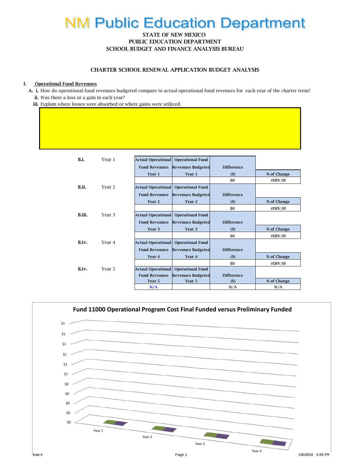# **NM Public Education Department**

#### STATE OF NEW MEXICO PUBLIC EDUCATION DEPARTMENT SCHOOL BUDGET AND FINANCE ANALYSIS BUREAU

#### CHARTER SCHOOL RENEWAL APPLICATION BUDGET ANALYSIS

#### I. Operational Fund Revenues

 A. i. How do operational fund revenues budgeted compare to actual operational fund revenues for each year of the charter term? ii. Was there a loss or a gain in each year?

iii. Explain where losses were absorbed or where gains were utilized.

| B.i.   | Year 1            | <b>Actual Operational</b><br><b>Operational Fund</b>                  |  |
|--------|-------------------|-----------------------------------------------------------------------|--|
|        |                   | <b>Fund Revenues</b><br><b>Revenues Budgeted</b><br><b>Difference</b> |  |
|        |                   | Year 1<br>Year 1<br>% of Change<br>(5)                                |  |
|        |                   | \$0<br>#DIV/0!                                                        |  |
| B.ii.  | Year 2            | <b>Actual Operational</b><br><b>Operational Fund</b>                  |  |
|        |                   | <b>Difference</b><br><b>Fund Revenues</b><br><b>Revenues Budgeted</b> |  |
|        |                   | Year <sub>2</sub><br>Year <sub>2</sub><br>% of Change<br>$($)$        |  |
|        |                   | \$0<br>#DIV/0!                                                        |  |
| R iii. | Year <sub>3</sub> | <b>Actual Operational</b><br><b>Operational Fund</b>                  |  |
|        |                   | <b>Difference</b><br><b>Revenues Budgeted</b><br><b>Fund Revenues</b> |  |
|        |                   | Year 3<br>Year 3<br>% of Change<br>$($)$                              |  |
|        |                   | \$0<br>#DIV/0!                                                        |  |
| B.iv.  | Year 4            | <b>Actual Operational</b><br><b>Operational Fund</b>                  |  |
|        |                   | <b>Revenues Budgeted</b><br><b>Difference</b><br><b>Fund Revenues</b> |  |
|        |                   | % of Change<br>Year <sub>4</sub><br>Year <sub>4</sub><br>(5)          |  |
|        |                   | \$0<br>#DIV/0!                                                        |  |
| B.iv.  | Year 5            | <b>Actual Operational</b><br><b>Operational Fund</b>                  |  |
|        |                   | <b>Difference</b><br><b>Fund Revenues</b><br><b>Revenues Budgeted</b> |  |
|        |                   | % of Change<br>Year 5<br>Year 5<br>(5)                                |  |
|        |                   | N/A<br>N/A<br>N/A                                                     |  |

![](_page_37_Figure_7.jpeg)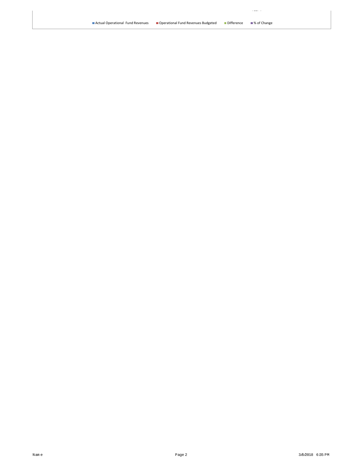$\epsilon$  den $\pm$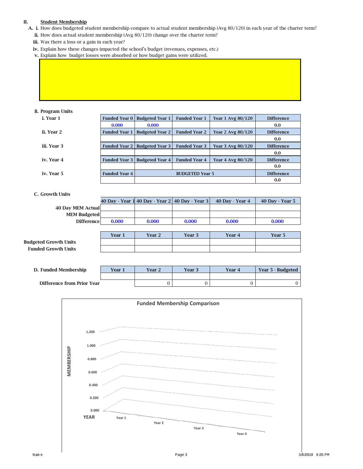#### II. Student Membership

- A. i. How does budgeted student membership compare to actual student membership (Avg 80/120) in each year of the charter term? ii. How does actual student membership (Avg 80/120) change over the charter term?
	- iii. Was there a loss or a gain in each year?
	- iv. Explain how these changes impacted the school's budget (revenues, expenses, etc.)
	- v. Explain how budget losses were absorbed or how budget gains were utilized.

#### B. Program Units

| i. Year 1   |                      | Funded Year 0   Budgeted Year 1      | <b>Funded Year 1</b>   | Year 1 Avg 80/120 | <b>Difference</b> |
|-------------|----------------------|--------------------------------------|------------------------|-------------------|-------------------|
|             | 0.000                | 0.000                                |                        |                   | 0.0               |
| ii. Year 2  | <b>Funded Year 1</b> | <b>Budgeted Year 2</b>               | <b>Funded Year 2</b>   | Year 2 Avg 80/120 | <b>Difference</b> |
|             |                      |                                      |                        |                   | 0.0               |
| iii. Year 3 |                      | <b>Funded Year 2 Budgeted Year 3</b> | <b>Funded Year 3</b>   | Year 3 Avg 80/120 | <b>Difference</b> |
|             |                      |                                      |                        |                   | 0.0               |
| iv. Year 4  | <b>Funded Year 3</b> | <b>Budgeted Year 4</b>               | <b>Funded Year 4</b>   | Year 4 Avg 80/120 | <b>Difference</b> |
|             |                      |                                      |                        |                   | 0.0               |
| iv. Year 5  | <b>Funded Year 4</b> |                                      | <b>BUDGETED Year 5</b> |                   | <b>Difference</b> |
|             |                      |                                      |                        |                   | 0.0               |

#### C. Growth Units

|                              |        |        | 40 Day - Year 1 40 Day - Year 2 40 Day - Year 3 | 40 Day - Year 4 | 40 Day - Year 5 |
|------------------------------|--------|--------|-------------------------------------------------|-----------------|-----------------|
| 40 Day MEM Actual            |        |        |                                                 |                 |                 |
| <b>MEM Budgeted</b>          |        |        |                                                 |                 |                 |
| <b>Difference</b>            | 0.000  | 0.000  | 0.000                                           | 0.000           | 0.000           |
|                              |        |        |                                                 |                 |                 |
|                              | Year 1 | Year 2 | Year 3                                          | Year 4          | Year 5          |
| <b>Budgeted Growth Units</b> |        |        |                                                 |                 |                 |
| <b>Funded Growth Units</b>   |        |        |                                                 |                 |                 |

| D. Funded Membership       | Year 1 | Year 2 | Year 3 | Year 4 | Year 5 - Budgeted |
|----------------------------|--------|--------|--------|--------|-------------------|
|                            |        |        |        |        |                   |
| Difference from Prior Year |        |        |        |        |                   |

![](_page_39_Figure_10.jpeg)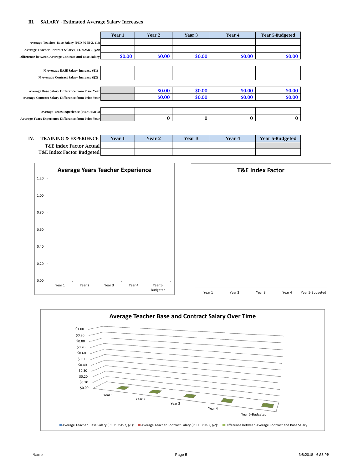#### III. SALARY - Estimated Average Salary Increases

|                                                           | Year 1 | Year 2 | Year 3 | Year 4 | <b>Year 5-Budgeted</b> |
|-----------------------------------------------------------|--------|--------|--------|--------|------------------------|
| Average Teacher Base Salary (PED 925B-2, §1):             |        |        |        |        |                        |
| Average Teacher Contract Salary (PED 925B-2, §2):         |        |        |        |        |                        |
| Difference between Average Contract and Base Salary       | \$0.00 | \$0.00 | \$0.00 | \$0.00 | \$0.00                 |
|                                                           |        |        |        |        |                        |
| % Average BASE Salary Increase (§1)                       |        |        |        |        |                        |
| % Average Contract Salary Increase (§2)                   |        |        |        |        |                        |
|                                                           |        |        |        |        |                        |
| Average Base Salary Difference from Prior Year            |        | \$0.00 | \$0.00 | \$0.00 | \$0.00                 |
| <b>Average Contract Salary Difference from Prior Year</b> |        | \$0.00 | \$0.00 | \$0.00 | \$0.00                 |
|                                                           |        |        |        |        |                        |
| Average Years Experience (PED 925B-3)                     |        |        |        |        |                        |
| Average Years Experience Difference from Prior Year       |        | 0      | 0      | 0      | 0                      |

| IV | <b>TRAINING &amp; EXPERIENCE</b>     | Year 1 | Year 2 | <b>Year 3</b> | Year 4 | <b>Year 5-Budgeted</b> |
|----|--------------------------------------|--------|--------|---------------|--------|------------------------|
|    | <b>T&amp;E Index Factor Actual</b>   |        |        |               |        |                        |
|    | <b>T&amp;E Index Factor Budgeted</b> |        |        |               |        |                        |

![](_page_41_Figure_3.jpeg)

![](_page_41_Figure_4.jpeg)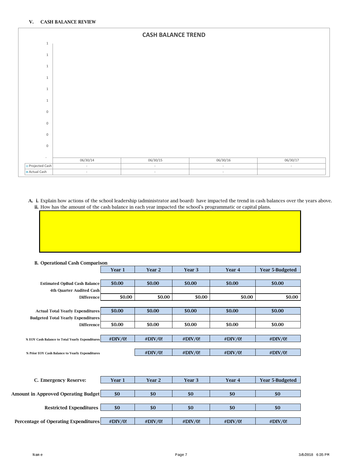![](_page_43_Figure_1.jpeg)

A. i. Explain how actions of the school leadership (administrator and board) have impacted the trend in cash balances over the years above. ii. How has the amount of the cash balance in each year impacted the school's programmatic or capital plans.

| <b>B.</b> Operational Cash Comparison           |         |                   |         |         |                        |
|-------------------------------------------------|---------|-------------------|---------|---------|------------------------|
|                                                 | Year 1  | Year <sub>2</sub> | Year 3  | Year 4  | <b>Year 5-Budgeted</b> |
|                                                 |         |                   |         |         |                        |
| <b>Estimated OpBud Cash Balance</b>             | \$0.00  | \$0.00            | \$0.00  | \$0.00  | \$0.00                 |
| <b>4th Quarter Audited Cash</b>                 |         |                   |         |         |                        |
| <b>Difference</b>                               | \$0.00  | \$0.00            | \$0.00  | \$0.00  | \$0.00                 |
|                                                 |         |                   |         |         |                        |
| <b>Actual Total Yearly Expenditures</b>         | \$0.00  | \$0.00            | \$0.00  | \$0.00  | \$0.00                 |
| <b>Budgeted Total Yearly Expenditures</b>       |         |                   |         |         |                        |
| <b>Difference</b>                               | \$0.00  | \$0.00            | \$0.00  | \$0.00  | \$0.00                 |
|                                                 |         |                   |         |         |                        |
| % EOY Cash Balance to Total Yearly Expenditures | #DIV/0! | #DIV/0!           | #DIV/0! | #DIV/0! | #DIV/0!                |
|                                                 |         |                   |         |         |                        |
| % Prior EOY Cash Balance to Yearly Expenditures |         | #DIV/0!           | #DIV/0! | #DIV/0! | #DIV/0!                |
|                                                 |         |                   |         |         |                        |
|                                                 |         |                   |         |         |                        |
|                                                 |         |                   |         |         |                        |
| C. Emergency Reserve:                           | Year 1  | Year 2            | Year 3  | Year 4  | Year 5-Budgeted        |
|                                                 |         |                   |         |         |                        |
| <b>Amount in Approved Operating Budget</b>      | \$0     | \$0               | \$0     | \$0     | \$0                    |
|                                                 |         |                   |         |         |                        |
| <b>Restricted Expenditures</b>                  | \$0     | \$0               | \$0     | \$0     | \$0                    |
|                                                 |         |                   |         |         |                        |
| Percentage of Operating Expenditures            | #DIV/0! | #DIV/0!           | #DIV/0! | #DIV/0! | #DIV/0!                |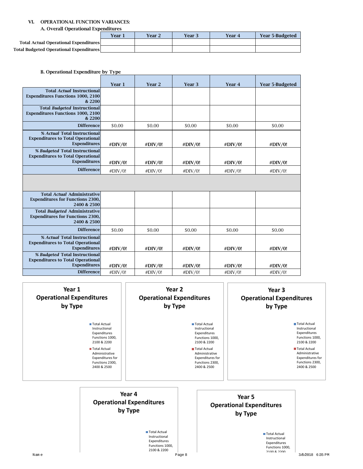#### VI. OPERATIONAL FUNCTION VARIANCES:

A. Overall Operational Expenditures

|                                                | Year : | Year 2 | Year 3 | Year 4 | <b>Year 5-Budgeted</b> |
|------------------------------------------------|--------|--------|--------|--------|------------------------|
| <b>Total Actual Operational Expenditures</b>   |        |        |        |        |                        |
| <b>Total Budgeted Operational Expenditures</b> |        |        |        |        |                        |

| B. Operational Expenditure by Type |  |  |
|------------------------------------|--|--|
|                                    |  |  |

|                                                                                                   | Year 1      | Year 2  | Year 3  | Year 4     | <b>Year 5-Budgeted</b> |
|---------------------------------------------------------------------------------------------------|-------------|---------|---------|------------|------------------------|
| <b>Total Actual Instructional</b><br><b>Expenditures Functions 1000, 2100</b><br>& 2200           |             |         |         |            |                        |
| <b>Total Budgeted Instructional</b><br><b>Expenditures Functions 1000, 2100</b><br>& 2200         |             |         |         |            |                        |
| <b>Difference</b>                                                                                 | \$0.00      | \$0.00  | \$0.00  | \$0.00     | \$0.00                 |
| % Actual Total Instructional<br><b>Expenditures to Total Operational</b><br><b>Expenditures</b>   | #DIV/0!     | #DIV/0! | #DIV/0! | #DIV/0!    | #DIV/0!                |
| % Budgeted Total Instructional<br><b>Expenditures to Total Operational</b><br><b>Expenditures</b> | #DIV/0!     | #DIV/0! | #DIV/0! | #DIV/0!    | #DIV/0!                |
| <b>Difference</b>                                                                                 | $\#$ DIV/0! | #DIV/0! | #DIV/0! | $\#DIV/0!$ | #DIV/0!                |
|                                                                                                   |             |         |         |            |                        |
| <b>Total Actual Administrative</b><br><b>Expenditures for Functions 2300,</b><br>2400 & 2500      |             |         |         |            |                        |
| <b>Total Budgeted Administrative</b><br><b>Expenditures for Functions 2300,</b><br>2400 & 2500    |             |         |         |            |                        |
| <b>Difference</b>                                                                                 | \$0.00      | \$0.00  | \$0.00  | \$0.00     | \$0.00                 |
| % Actual Total Instructional<br><b>Expenditures to Total Operational</b><br><b>Expenditures</b>   | #DIV/0!     | #DIV/0! | #DIV/0! | #DIV/0!    | #DIV/0!                |
| % Budgeted Total Instructional<br><b>Expenditures to Total Operational</b><br><b>Expenditures</b> | #DIV/0!     | #DIV/0! | #DIV/0! | #DIV/0!    | #DIV/0!                |
| <b>Difference</b>                                                                                 | #DIV/0!     | #DIV/0! | #DIV/0! | #DIV/0!    | #DIV/0!                |

|      | Year 1<br><b>Operational Expenditures</b><br>by Type                                                                                                                           |                                                                                           | Year 2<br><b>Operational Expenditures</b><br>by Type |                                                                                                                                                                         | Year 3<br><b>Operational Expenditures</b><br>by Type                                   |                                                                                                                                                                                |
|------|--------------------------------------------------------------------------------------------------------------------------------------------------------------------------------|-------------------------------------------------------------------------------------------|------------------------------------------------------|-------------------------------------------------------------------------------------------------------------------------------------------------------------------------|----------------------------------------------------------------------------------------|--------------------------------------------------------------------------------------------------------------------------------------------------------------------------------|
|      | Total Actual<br>Instructional<br>Expenditures<br>Functions 1000,<br>2100 & 2200<br>Total Actual<br>Administrative<br><b>Expenditures for</b><br>Functions 2300,<br>2400 & 2500 |                                                                                           |                                                      | Total Actual<br>Instructional<br>Expenditures<br>Functions 1000,<br>2100 & 2200<br>Total Actual<br>Administrative<br>Expenditures for<br>Functions 2300,<br>2400 & 2500 |                                                                                        | Total Actual<br>Instructional<br>Expenditures<br>Functions 1000,<br>2100 & 2200<br>Total Actual<br>Administrative<br><b>Expenditures for</b><br>Functions 2300,<br>2400 & 2500 |
|      |                                                                                                                                                                                | Year 4<br><b>Operational Expenditures</b><br>by Type                                      |                                                      |                                                                                                                                                                         | Year 5<br><b>Operational Expenditures</b><br>by Type                                   |                                                                                                                                                                                |
| Name |                                                                                                                                                                                | Total Actual<br>Instructional<br>Expenditures<br>Functions 1000,<br>2100 & 2200<br>Page 8 |                                                      |                                                                                                                                                                         | Total Actual<br>Instructional<br>Expenditures<br>Functions 1000,<br><b>2100 8.2200</b> | 3/8/2018 6:35 PM                                                                                                                                                               |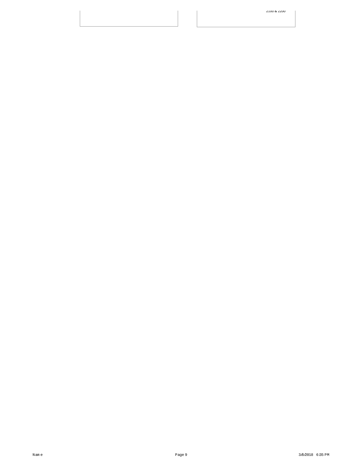2100 & 2200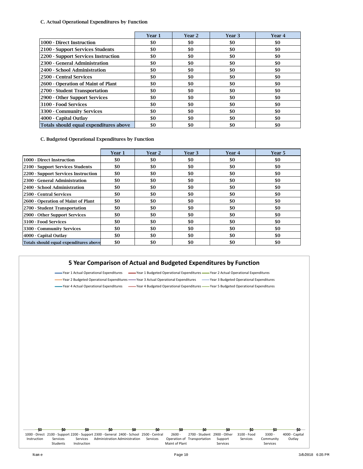C. Actual Operational Expenditures by Function

|                                        | Year 1 | Year 2 | Year 3 | Year 4 |
|----------------------------------------|--------|--------|--------|--------|
| 1000 - Direct Instruction              | \$0    | \$0    | \$0    | \$0    |
| 2100 - Support Services Students       | \$0    | \$0    | \$0    | \$0    |
| 2200 - Support Services Instruction    | \$0    | \$0    | \$0    | \$0    |
| 2300 - General Administration          | \$0    | \$0    | \$0    | \$0    |
| 2400 - School Administration           | \$0    | \$0    | \$0    | \$0    |
| 2500 - Central Services                | \$0    | \$0    | \$0    | \$0    |
| 2600 - Operation of Maint of Plant     | \$0    | \$0    | \$0    | \$0    |
| 2700 - Student Transportation          | \$0    | \$0    | \$0    | \$0    |
| 2900 - Other Support Services          | \$0    | \$0    | \$0    | \$0    |
| 3100 - Food Services                   | \$0    | \$0    | \$0    | \$0    |
| 3300 - Community Services              | \$0    | \$0    | \$0    | \$0    |
| 4000 - Capital Outlay                  | \$0    | \$0    | \$0    | \$0    |
| Totals should equal expenditures above | \$0    | \$0    | \$0    | \$0    |

C. Budgeted Operational Expenditures by Function

|                                        | Year 1 | Year 2 | Year 3 | Year 4 | Year 5 |
|----------------------------------------|--------|--------|--------|--------|--------|
| 1000 - Direct Instruction              | \$0    | \$0    | \$0    | \$0    | \$0    |
| 2100 - Support Services Students       | \$0    | \$0    | \$0    | \$0    | \$0    |
| 2200 - Support Services Instruction    | \$0    | \$0    | \$0    | \$0    | \$0    |
| 2300 - General Administration          | \$0    | \$0    | \$0    | \$0    | \$0    |
| 2400 - School Administration           | \$0    | \$0    | \$0    | \$0    | \$0    |
| 2500 - Central Services                | \$0    | \$0    | \$0    | \$0    | \$0    |
| 2600 - Operation of Maint of Plant     | \$0    | \$0    | \$0    | \$0    | \$0    |
| 2700 - Student Transportation          | \$0    | \$0    | \$0    | \$0    | \$0    |
| 2900 - Other Support Services          | \$0    | \$0    | \$0    | \$0    | \$0    |
| 3100 - Food Services                   | \$0    | \$0    | \$0    | \$0    | \$0    |
| 3300 - Community Services              | \$0    | \$0    | \$0    | \$0    | \$0    |
| 4000 - Capital Outlay                  | \$0    | \$0    | \$0    | \$0    | \$0    |
| Totals should equal expenditures above | \$0    | \$0    | \$0    | \$0    | \$0    |

#### **5 Year Comparison of Actual and Budgeted Expenditures by Function**

Year 1 Actual Operational Expenditures Year 1 Budgeted Operational Expenditures Year 2 Actual Operational Expenditures Year 2 Budgeted Operational Expenditures — Year 3 Actual Operational Expenditures (Year 3 Budgeted Operational Expenditures

Year 4 Actual Operational Expenditures Year 4 Budgeted Operational Expenditures Wear 5 Budgeted Operational Expenditures

|             | -90                                                                                     | -90                     | 50                            | -50      | -90            |                             |                     | so          |                       |                |
|-------------|-----------------------------------------------------------------------------------------|-------------------------|-------------------------------|----------|----------------|-----------------------------|---------------------|-------------|-----------------------|----------------|
|             | 1000 - Direct 2100 - Support 2200 - Support 2300 - General 2400 - School 2500 - Central |                         |                               |          | $2600 -$       | 2700 - Student 2900 - Other |                     | 3100 - Food | $3300 -$              | 4000 - Capital |
| Instruction | Services<br><b>Students</b>                                                             | Services<br>Instruction | Administration Administration | Services | Maint of Plant | Operation of Transportation | Support<br>Services | Services    | Community<br>Services | Outlay         |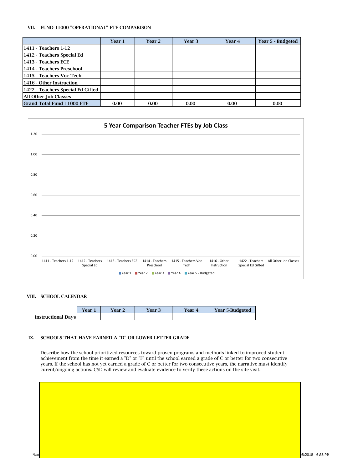#### VII. FUND 11000 "OPERATIONAL" FTE COMPARISON

|                                   | Year 1 | <b>Year 2</b> | Year 3 | Year 4 | Year 5 - Budgeted |
|-----------------------------------|--------|---------------|--------|--------|-------------------|
| 1411 - Teachers 1-12              |        |               |        |        |                   |
| 1412 - Teachers Special Ed        |        |               |        |        |                   |
| 1413 - Teachers ECE               |        |               |        |        |                   |
| 1414 - Teachers Preschool         |        |               |        |        |                   |
| 1415 - Teachers Voc Tech          |        |               |        |        |                   |
| 1416 - Other Instruction          |        |               |        |        |                   |
| 1422 - Teachers Special Ed Gifted |        |               |        |        |                   |
| All Other Job Classes             |        |               |        |        |                   |
| <b>Grand Total Fund 11000 FTE</b> | 0.00   | 0.00          | 0.00   | 0.00   | 0.00              |

|      | 5 Year Comparison Teacher FTEs by Job Class                  |            |                                                                                                                                                                                                                               |                 |                     |              |                   |                       |
|------|--------------------------------------------------------------|------------|-------------------------------------------------------------------------------------------------------------------------------------------------------------------------------------------------------------------------------|-----------------|---------------------|--------------|-------------------|-----------------------|
| 1.20 |                                                              |            |                                                                                                                                                                                                                               |                 |                     |              |                   |                       |
| 1.00 |                                                              |            |                                                                                                                                                                                                                               |                 |                     |              |                   |                       |
| 0.80 |                                                              |            |                                                                                                                                                                                                                               |                 |                     |              |                   |                       |
| 0.60 |                                                              |            |                                                                                                                                                                                                                               |                 |                     |              |                   |                       |
| 0.40 |                                                              |            |                                                                                                                                                                                                                               |                 |                     |              |                   |                       |
| 0.20 |                                                              |            | the control of the control of the control of the control of the control of the control of the control of the control of the control of the control of the control of the control of the control of the control of the control |                 |                     |              |                   |                       |
| 0.00 | 1411 - Teachers 1-12   1412 - Teachers   1413 - Teachers ECE |            |                                                                                                                                                                                                                               | 1414 - Teachers | 1415 - Teachers Voc | 1416 - Other | 1422 - Teachers   | All Other Job Classes |
|      |                                                              | Special Ed |                                                                                                                                                                                                                               | Preschool       | Tech                | Instruction  | Special Ed Gifted |                       |
|      | ■ Year 1 ■ Year 2 ■ Year 3 ■ Year 4 ■ Year 5 - Budgeted      |            |                                                                                                                                                                                                                               |                 |                     |              |                   |                       |

#### VIII. SCHOOL CALENDAR

|                           | Year . | Year 2 | Year 3 | Year 4 | <b>Year 5-Budgeted</b> |
|---------------------------|--------|--------|--------|--------|------------------------|
| <b>Instructional Days</b> |        |        |        |        |                        |

#### IX. SCHOOLS THAT HAVE EARNED A "D" OR LOWER LETTER GRADE

Describe how the school prioritized resources toward proven programs and methods linked to improved student achievement from the time it earned a "D" or "F" until the school earned a grade of C or better for two consecutive years. If the school has not yet earned a grade of C or better for two consecutive years, the narrative must identify curent/ongoing actions. CSD will review and evaluate evidence to verify these actions on the site visit.